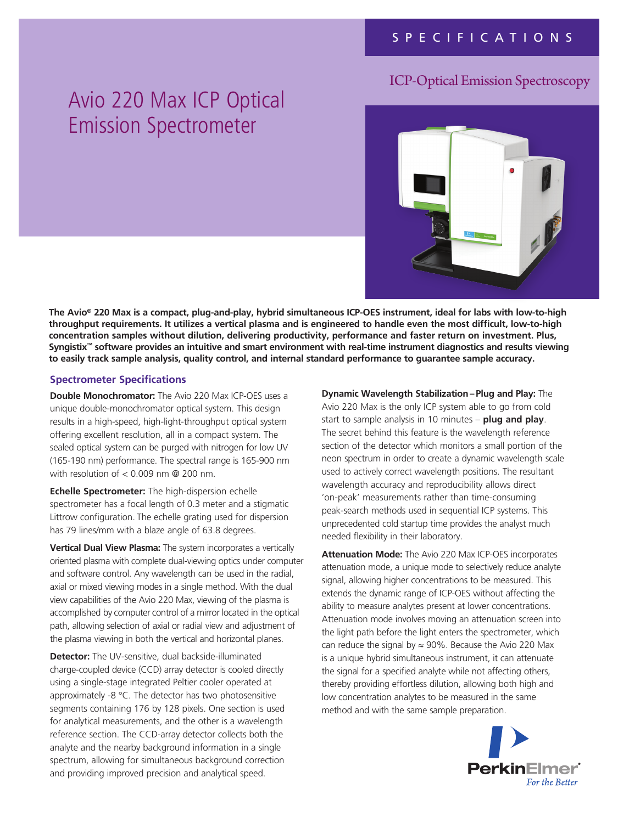## ICP-Optical Emission Spectroscopy

# Avio 220 Max ICP Optical Emission Spectrometer



**The Avio® 220 Max is a compact, plug-and-play, hybrid simultaneous ICP-OES instrument, ideal for labs with low-to-high throughput requirements. It utilizes a vertical plasma and is engineered to handle even the most difficult, low-to-high concentration samples without dilution, delivering productivity, performance and faster return on investment. Plus, Syngistix™ software provides an intuitive and smart environment with real-time instrument diagnostics and results viewing to easily track sample analysis, quality control, and internal standard performance to guarantee sample accuracy.**

#### **Spectrometer Specifications**

**Double Monochromator:** The Avio 220 Max ICP-OES uses a unique double-monochromator optical system. This design results in a high-speed, high-light-throughput optical system offering excellent resolution, all in a compact system. The sealed optical system can be purged with nitrogen for low UV (165-190 nm) performance. The spectral range is 165-900 nm with resolution of < 0.009 nm @ 200 nm.

**Echelle Spectrometer:** The high-dispersion echelle spectrometer has a focal length of 0.3 meter and a stigmatic Littrow configuration. The echelle grating used for dispersion has 79 lines/mm with a blaze angle of 63.8 degrees.

**Vertical Dual View Plasma:** The system incorporates a vertically oriented plasma with complete dual-viewing optics under computer and software control. Any wavelength can be used in the radial, axial or mixed viewing modes in a single method. With the dual view capabilities of the Avio 220 Max, viewing of the plasma is accomplished by computer control of a mirror located in the optical path, allowing selection of axial or radial view and adjustment of the plasma viewing in both the vertical and horizontal planes.

**Detector:** The UV-sensitive, dual backside-illuminated charge-coupled device (CCD) array detector is cooled directly using a single-stage integrated Peltier cooler operated at approximately -8 °C. The detector has two photosensitive segments containing 176 by 128 pixels. One section is used for analytical measurements, and the other is a wavelength reference section. The CCD-array detector collects both the analyte and the nearby background information in a single spectrum, allowing for simultaneous background correction and providing improved precision and analytical speed.

**Dynamic Wavelength Stabilization– Plug and Play:** The Avio 220 Max is the only ICP system able to go from cold start to sample analysis in 10 minutes – **plug and play**. The secret behind this feature is the wavelength reference section of the detector which monitors a small portion of the neon spectrum in order to create a dynamic wavelength scale used to actively correct wavelength positions. The resultant wavelength accuracy and reproducibility allows direct 'on-peak' measurements rather than time-consuming peak-search methods used in sequential ICP systems. This unprecedented cold startup time provides the analyst much needed flexibility in their laboratory.

**Attenuation Mode:** The Avio 220 Max ICP-OES incorporates attenuation mode, a unique mode to selectively reduce analyte signal, allowing higher concentrations to be measured. This extends the dynamic range of ICP-OES without affecting the ability to measure analytes present at lower concentrations. Attenuation mode involves moving an attenuation screen into the light path before the light enters the spectrometer, which can reduce the signal by  $\approx$  90%. Because the Avio 220 Max is a unique hybrid simultaneous instrument, it can attenuate the signal for a specified analyte while not affecting others, thereby providing effortless dilution, allowing both high and low concentration analytes to be measured in the same method and with the same sample preparation.